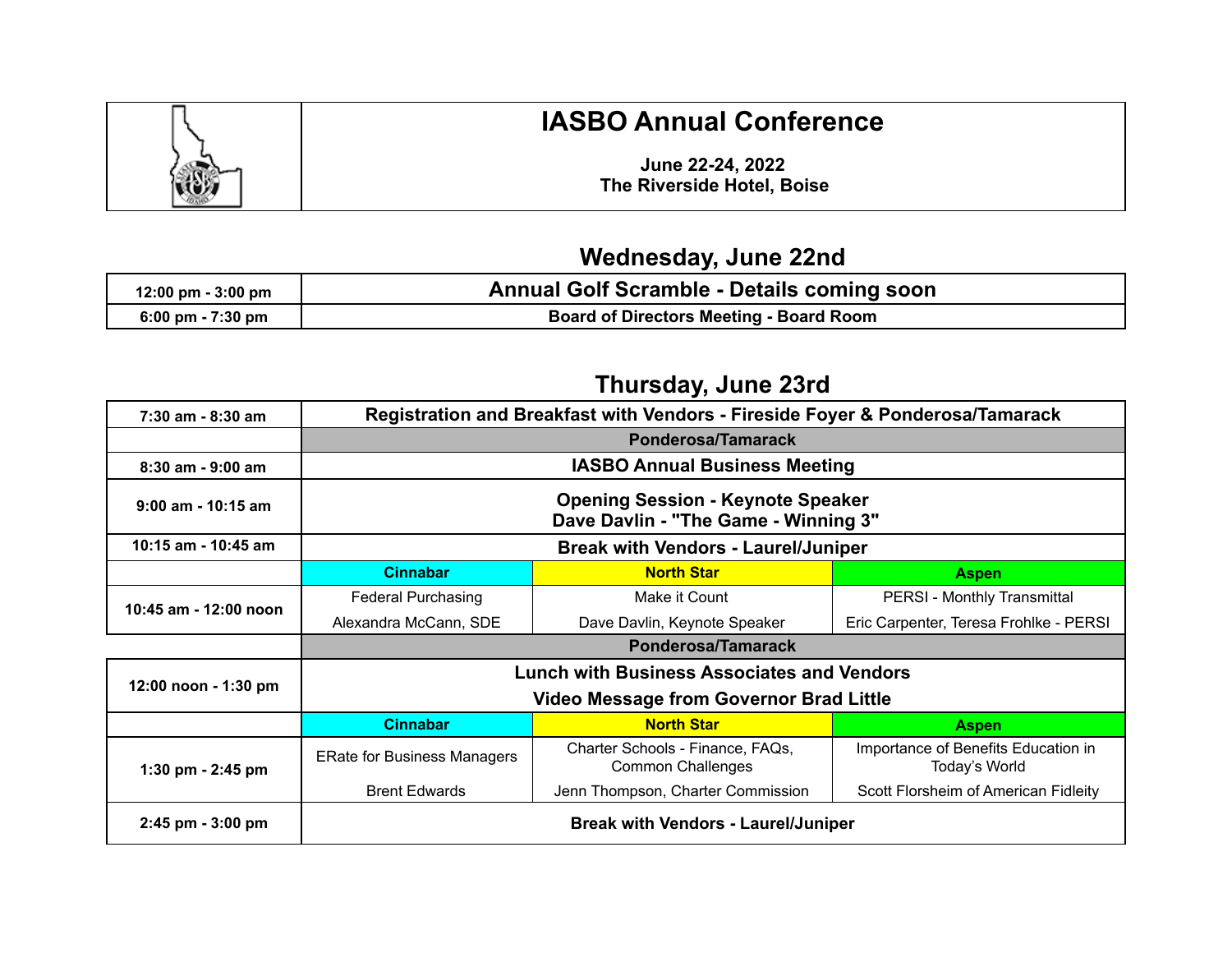

## **IASBO Annual Conference**

**June 22-24, 2022 The Riverside Hotel, Boise**

## **Wednesday, June 22nd**

| $12:00 \text{ pm} - 3:00 \text{ pm}$ | <b>Annual Golf Scramble - Details coming soon</b> |
|--------------------------------------|---------------------------------------------------|
| 6:00 pm - $7:30$ pm                  | <b>Board of Directors Meeting - Board Room</b>    |

## **Thursday, June 23rd**

| $7:30$ am - 8:30 am   |                                                                                  | Registration and Breakfast with Vendors - Fireside Foyer & Ponderosa/Tamarack |                                                      |  |
|-----------------------|----------------------------------------------------------------------------------|-------------------------------------------------------------------------------|------------------------------------------------------|--|
|                       | Ponderosa/Tamarack                                                               |                                                                               |                                                      |  |
| 8:30 am - 9:00 am     | <b>IASBO Annual Business Meeting</b>                                             |                                                                               |                                                      |  |
| $9:00$ am - 10:15 am  | <b>Opening Session - Keynote Speaker</b><br>Dave Davlin - "The Game - Winning 3" |                                                                               |                                                      |  |
| 10:15 am - 10:45 am   | <b>Break with Vendors - Laurel/Juniper</b>                                       |                                                                               |                                                      |  |
|                       | <b>Cinnabar</b>                                                                  | <b>North Star</b>                                                             | <b>Aspen</b>                                         |  |
| 10:45 am - 12:00 noon | <b>Federal Purchasing</b>                                                        | Make it Count                                                                 | PERSI - Monthly Transmittal                          |  |
|                       | Alexandra McCann, SDE                                                            | Dave Davlin, Keynote Speaker                                                  | Eric Carpenter, Teresa Frohlke - PERSI               |  |
|                       | <b>Ponderosa/Tamarack</b>                                                        |                                                                               |                                                      |  |
| 12:00 noon - 1:30 pm  | <b>Lunch with Business Associates and Vendors</b>                                |                                                                               |                                                      |  |
|                       | <b>Video Message from Governor Brad Little</b>                                   |                                                                               |                                                      |  |
|                       | <b>Cinnabar</b>                                                                  | <b>North Star</b>                                                             | <b>Aspen</b>                                         |  |
| 1:30 pm $-$ 2:45 pm   | <b>ERate for Business Managers</b>                                               | Charter Schools - Finance, FAQs,<br><b>Common Challenges</b>                  | Importance of Benefits Education in<br>Today's World |  |
|                       | <b>Brent Edwards</b>                                                             | Jenn Thompson, Charter Commission                                             | Scott Florsheim of American Fidleity                 |  |
| $2:45$ pm $-3:00$ pm  |                                                                                  | <b>Break with Vendors - Laurel/Juniper</b>                                    |                                                      |  |